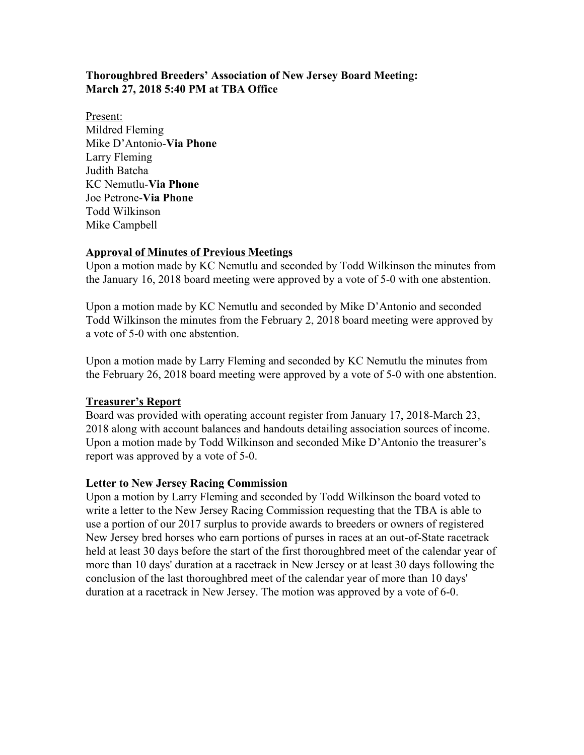# **Thoroughbred Breeders' Association of New Jersey Board Meeting: March 27, 2018 5:40 PM at TBA Office**

Present: Mildred Fleming Mike D'Antonio-**Via Phone** Larry Fleming Judith Batcha KC Nemutlu-**Via Phone** Joe Petrone-**Via Phone** Todd Wilkinson Mike Campbell

## **Approval of Minutes of Previous Meetings**

Upon a motion made by KC Nemutlu and seconded by Todd Wilkinson the minutes from the January 16, 2018 board meeting were approved by a vote of 5-0 with one abstention.

Upon a motion made by KC Nemutlu and seconded by Mike D'Antonio and seconded Todd Wilkinson the minutes from the February 2, 2018 board meeting were approved by a vote of 5-0 with one abstention.

Upon a motion made by Larry Fleming and seconded by KC Nemutlu the minutes from the February 26, 2018 board meeting were approved by a vote of 5-0 with one abstention.

## **Treasurer's Report**

Board was provided with operating account register from January 17, 2018-March 23, 2018 along with account balances and handouts detailing association sources of income. Upon a motion made by Todd Wilkinson and seconded Mike D'Antonio the treasurer's report was approved by a vote of 5-0.

#### **Letter to New Jersey Racing Commission**

Upon a motion by Larry Fleming and seconded by Todd Wilkinson the board voted to write a letter to the New Jersey Racing Commission requesting that the TBA is able to use a portion of our 2017 surplus to provide awards to breeders or owners of registered New Jersey bred horses who earn portions of purses in races at an out-of-State racetrack held at least 30 days before the start of the first thoroughbred meet of the calendar year of more than 10 days' duration at a racetrack in New Jersey or at least 30 days following the conclusion of the last thoroughbred meet of the calendar year of more than 10 days' duration at a racetrack in New Jersey. The motion was approved by a vote of 6-0.